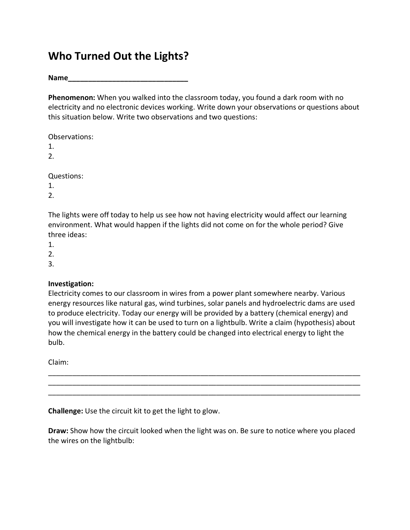## **Who Turned Out the Lights?**

**Name\_\_\_\_\_\_\_\_\_\_\_\_\_\_\_\_\_\_\_\_\_\_\_\_\_\_\_\_\_\_**

**Phenomenon:** When you walked into the classroom today, you found a dark room with no electricity and no electronic devices working. Write down your observations or questions about this situation below. Write two observations and two questions:

Observations:

1.

2.

Questions:

1.

2.

The lights were off today to help us see how not having electricity would affect our learning environment. What would happen if the lights did not come on for the whole period? Give three ideas:

1.

2.

3.

## **Investigation:**

Electricity comes to our classroom in wires from a power plant somewhere nearby. Various energy resources like natural gas, wind turbines, solar panels and hydroelectric dams are used to produce electricity. Today our energy will be provided by a battery (chemical energy) and you will investigate how it can be used to turn on a lightbulb. Write a claim (hypothesis) about how the chemical energy in the battery could be changed into electrical energy to light the bulb.

\_\_\_\_\_\_\_\_\_\_\_\_\_\_\_\_\_\_\_\_\_\_\_\_\_\_\_\_\_\_\_\_\_\_\_\_\_\_\_\_\_\_\_\_\_\_\_\_\_\_\_\_\_\_\_\_\_\_\_\_\_\_\_\_\_\_\_\_\_\_\_\_\_\_\_\_\_\_ \_\_\_\_\_\_\_\_\_\_\_\_\_\_\_\_\_\_\_\_\_\_\_\_\_\_\_\_\_\_\_\_\_\_\_\_\_\_\_\_\_\_\_\_\_\_\_\_\_\_\_\_\_\_\_\_\_\_\_\_\_\_\_\_\_\_\_\_\_\_\_\_\_\_\_\_\_\_ \_\_\_\_\_\_\_\_\_\_\_\_\_\_\_\_\_\_\_\_\_\_\_\_\_\_\_\_\_\_\_\_\_\_\_\_\_\_\_\_\_\_\_\_\_\_\_\_\_\_\_\_\_\_\_\_\_\_\_\_\_\_\_\_\_\_\_\_\_\_\_\_\_\_\_\_\_\_

Claim:

**Challenge:** Use the circuit kit to get the light to glow.

**Draw:** Show how the circuit looked when the light was on. Be sure to notice where you placed the wires on the lightbulb: